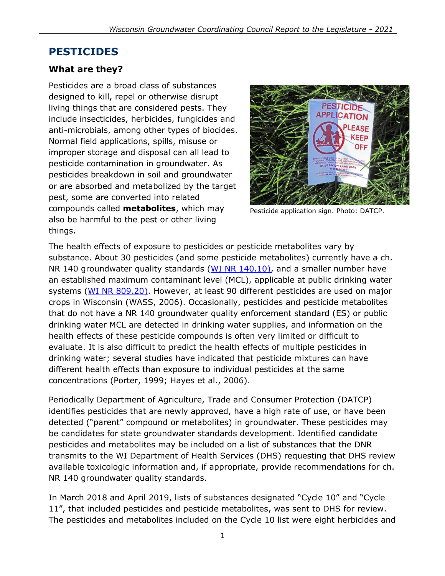# **PESTICIDES**

### **What are they?**

Pesticides are a broad class of substances designed to kill, repel or otherwise disrupt living things that are considered pests. They include insecticides, herbicides, fungicides and anti-microbials, among other types of biocides. Normal field applications, spills, misuse or improper storage and disposal can all lead to pesticide contamination in groundwater. As pesticides breakdown in soil and groundwater or are absorbed and metabolized by the target pest, some are converted into related compounds called **metabolites**, which may also be harmful to the pest or other living things.



Pesticide application sign. Photo: [DATCP.](https://www.flickr.com/photos/widatcp/)

The health effects of exposure to pesticides or pesticide metabolites vary by substance. About 30 pesticides (and some pesticide metabolites) currently have a ch. NR 140 groundwater quality standards (WI [NR 140.10\),](http://docs.legis.wisconsin.gov/code/admin_code/nr/100/140/II/10) and a smaller number have an established maximum contaminant level (MCL), applicable at public drinking water systems (WI [NR 809.20\).](http://docs.legis.wisconsin.gov/code/admin_code/nr/800/809/I/20) However, at least 90 different pesticides are used on major crops in Wisconsin (WASS, 2006). Occasionally, pesticides and pesticide metabolites that do not have a NR 140 groundwater quality enforcement standard (ES) or public drinking water MCL are detected in drinking water supplies, and information on the health effects of these pesticide compounds is often very limited or difficult to evaluate. It is also difficult to predict the health effects of multiple pesticides in drinking water; several studies have indicated that pesticide mixtures can have different health effects than exposure to individual pesticides at the same concentrations (Porter, 1999; Hayes et al., 2006).

Periodically Department of Agriculture, Trade and Consumer Protection (DATCP) identifies pesticides that are newly approved, have a high rate of use, or have been detected ("parent" compound or metabolites) in groundwater. These pesticides may be candidates for state groundwater standards development. Identified candidate pesticides and metabolites may be included on a list of substances that the DNR transmits to the WI Department of Health Services (DHS) requesting that DHS review available toxicologic information and, if appropriate, provide recommendations for ch. NR 140 groundwater quality standards.

In March 2018 and April 2019, lists of substances designated "Cycle 10" and "Cycle 11", that included pesticides and pesticide metabolites, was sent to DHS for review. The pesticides and metabolites included on the Cycle 10 list were eight herbicides and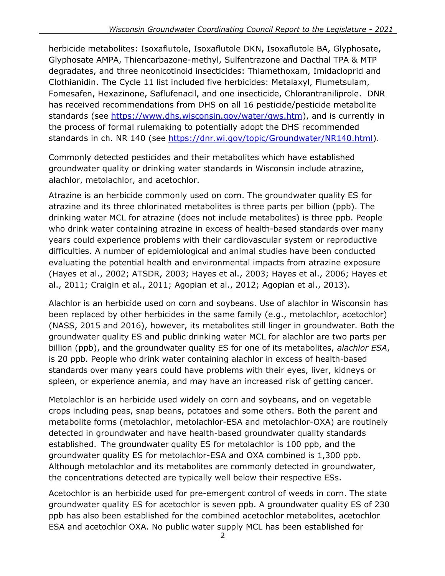herbicide metabolites: Isoxaflutole, Isoxaflutole DKN, Isoxaflutole BA, Glyphosate, Glyphosate AMPA, Thiencarbazone-methyl, Sulfentrazone and Dacthal TPA & MTP degradates, and three neonicotinoid insecticides: Thiamethoxam, Imidacloprid and Clothianidin. The Cycle 11 list included five herbicides: Metalaxyl, Flumetsulam, Fomesafen, Hexazinone, Saflufenacil, and one insecticide, Chlorantraniliprole. DNR has received recommendations from DHS on all 16 pesticide/pesticide metabolite standards (see [https://www.dhs.wisconsin.gov/water/gws.htm\)](https://www.dhs.wisconsin.gov/water/gws.htm), and is currently in the process of formal rulemaking to potentially adopt the DHS recommended standards in ch. NR 140 (see [https://dnr.wi.gov/topic/Groundwater/NR140.html\)](https://dnr.wi.gov/topic/Groundwater/NR140.html).

Commonly detected pesticides and their metabolites which have established groundwater quality or drinking water standards in Wisconsin include atrazine, alachlor, metolachlor, and acetochlor.

Atrazine is an herbicide commonly used on corn. The groundwater quality ES for atrazine and its three chlorinated metabolites is three parts per billion (ppb). The drinking water MCL for atrazine (does not include metabolites) is three ppb. People who drink water containing atrazine in excess of health-based standards over many years could experience problems with their cardiovascular system or reproductive difficulties. A number of epidemiological and animal studies have been conducted evaluating the potential health and environmental impacts from atrazine exposure (Hayes et al., 2002; ATSDR, 2003; Hayes et al., 2003; Hayes et al., 2006; Hayes et al., 2011; Craigin et al., 2011; Agopian et al., 2012; Agopian et al., 2013).

Alachlor is an herbicide used on corn and soybeans. Use of alachlor in Wisconsin has been replaced by other herbicides in the same family (e.g., metolachlor, acetochlor) (NASS, 2015 and 2016), however, its metabolites still linger in groundwater. Both the groundwater quality ES and public drinking water MCL for alachlor are two parts per billion (ppb), and the groundwater quality ES for one of its metabolites, *alachlor ESA*, is 20 ppb. People who drink water containing alachlor in excess of health-based standards over many years could have problems with their eyes, liver, kidneys or spleen, or experience anemia, and may have an increased risk of getting cancer.

Metolachlor is an herbicide used widely on corn and soybeans, and on vegetable crops including peas, snap beans, potatoes and some others. Both the parent and metabolite forms (metolachlor, metolachlor-ESA and metolachlor-OXA) are routinely detected in groundwater and have health-based groundwater quality standards established. The groundwater quality ES for metolachlor is 100 ppb, and the groundwater quality ES for metolachlor-ESA and OXA combined is 1,300 ppb. Although metolachlor and its metabolites are commonly detected in groundwater, the concentrations detected are typically well below their respective ESs.

Acetochlor is an herbicide used for pre-emergent control of weeds in corn. The state groundwater quality ES for acetochlor is seven ppb. A groundwater quality ES of 230 ppb has also been established for the combined acetochlor metabolites, acetochlor ESA and acetochlor OXA. No public water supply MCL has been established for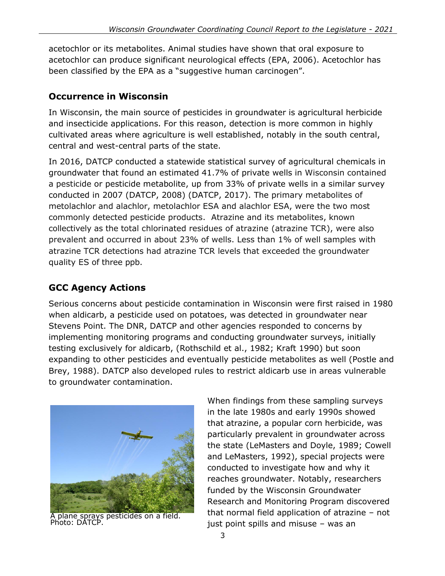acetochlor or its metabolites. Animal studies have shown that oral exposure to acetochlor can produce significant neurological effects (EPA, 2006). Acetochlor has been classified by the EPA as a "suggestive human carcinogen".

## **Occurrence in Wisconsin**

In Wisconsin, the main source of pesticides in groundwater is agricultural herbicide and insecticide applications. For this reason, detection is more common in highly cultivated areas where agriculture is well established, notably in the south central, central and west-central parts of the state.

In 2016, DATCP conducted a statewide statistical survey of agricultural chemicals in groundwater that found an estimated 41.7% of private wells in Wisconsin contained a pesticide or pesticide metabolite, up from 33% of private wells in a similar survey conducted in 2007 (DATCP, 2008) (DATCP, 2017). The primary metabolites of metolachlor and alachlor, metolachlor ESA and alachlor ESA, were the two most commonly detected pesticide products. Atrazine and its metabolites, known collectively as the total chlorinated residues of atrazine (atrazine TCR), were also prevalent and occurred in about 23% of wells. Less than 1% of well samples with atrazine TCR detections had atrazine TCR levels that exceeded the groundwater quality ES of three ppb.

## **GCC Agency Actions**

Serious concerns about pesticide contamination in Wisconsin were first raised in 1980 when aldicarb, a pesticide used on potatoes, was detected in groundwater near Stevens Point. The DNR, DATCP and other agencies responded to concerns by implementing monitoring programs and conducting groundwater surveys, initially testing exclusively for aldicarb, (Rothschild et al., 1982; Kraft 1990) but soon expanding to other pesticides and eventually pesticide metabolites as well (Postle and Brey, 1988). DATCP also developed rules to restrict aldicarb use in areas vulnerable to groundwater contamination.



plane sprays pesticides on a field. Photo: [DATCP.](https://www.flickr.com/photos/widatcp/)

When findings from these sampling surveys in the late 1980s and early 1990s showed that atrazine, a popular corn herbicide, was particularly prevalent in groundwater across the state (LeMasters and Doyle, 1989; Cowell and LeMasters, 1992), special projects were conducted to investigate how and why it reaches groundwater. Notably, researchers funded by the Wisconsin Groundwater Research and Monitoring Program discovered that normal field application of atrazine – not just point spills and misuse – was an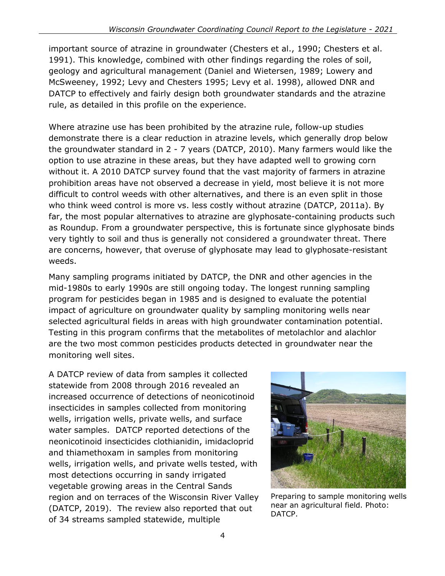important source of atrazine in groundwater (Chesters et al., 1990; Chesters et al. 1991). This knowledge, combined with other findings regarding the roles of soil, geology and agricultural management (Daniel and Wietersen, 1989; Lowery and McSweeney, 1992; Levy and Chesters 1995; Levy et al. 1998), allowed DNR and DATCP to effectively and fairly design both groundwater standards and the atrazine rule, as detailed in [this profile](http://dnr.wi.gov/topic/groundwater/documents/GCC/ProgressPortfolio/NonpointContamination.pdf) on the experience.

Where atrazine use has been prohibited by the atrazine rule, follow-up studies demonstrate there is a clear reduction in atrazine levels, which generally drop below the groundwater standard in 2 - 7 years (DATCP, 2010). Many farmers would like the option to use atrazine in these areas, but they have adapted well to growing corn without it. A 2010 DATCP survey found that the vast majority of farmers in atrazine prohibition areas have not observed a decrease in yield, most believe it is not more difficult to control weeds with other alternatives, and there is an even split in those who think weed control is more vs. less costly without atrazine (DATCP, 2011a). By far, the most popular alternatives to atrazine are glyphosate-containing products such as Roundup. From a groundwater perspective, this is fortunate since glyphosate binds very tightly to soil and thus is generally not considered a groundwater threat. There are concerns, however, that overuse of glyphosate may lead to glyphosate-resistant weeds.

Many sampling programs initiated by DATCP, the DNR and other agencies in the mid-1980s to early 1990s are still ongoing today. The longest running sampling program for pesticides began in 1985 and is designed to evaluate the potential impact of agriculture on groundwater quality by sampling monitoring wells near selected agricultural fields in areas with high groundwater contamination potential. Testing in this program confirms that the metabolites of metolachlor and alachlor are the two most common pesticides products detected in groundwater near the monitoring well sites.

A DATCP review of data from samples it collected statewide from 2008 through 2016 revealed an increased occurrence of detections of neonicotinoid insecticides in samples collected from monitoring wells, irrigation wells, private wells, and surface water samples. DATCP reported detections of the neonicotinoid insecticides clothianidin, imidacloprid and thiamethoxam in samples from monitoring wells, irrigation wells, and private wells tested, with most detections occurring in sandy irrigated vegetable growing areas in the Central Sands region and on terraces of the Wisconsin River Valley (DATCP, 2019). The review also reported that out of 34 streams sampled statewide, multiple



Preparing to sample monitoring wells near an agricultural field. Photo: [DATCP.](https://www.flickr.com/photos/widatcp/)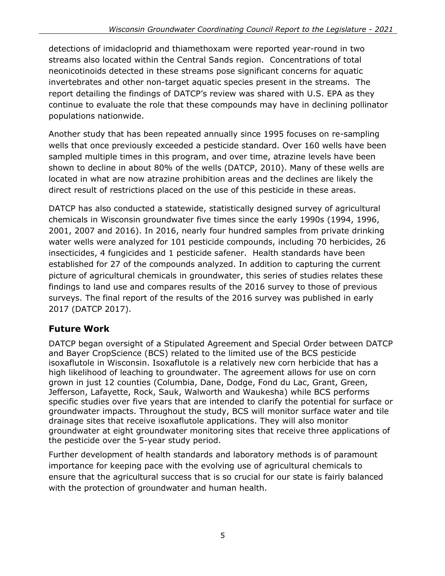detections of imidacloprid and thiamethoxam were reported year-round in two streams also located within the Central Sands region. Concentrations of total neonicotinoids detected in these streams pose significant concerns for aquatic invertebrates and other non-target aquatic species present in the streams. The report detailing the findings of DATCP's review was shared with U.S. EPA as they continue to evaluate the role that these compounds may have in declining pollinator populations nationwide.

Another study that has been repeated annually since 1995 focuses on re-sampling wells that once previously exceeded a pesticide standard. Over 160 wells have been sampled multiple times in this program, and over time, atrazine levels have been shown to decline in about 80% of the wells (DATCP, 2010). Many of these wells are located in what are now atrazine prohibition areas and the declines are likely the direct result of restrictions placed on the use of this pesticide in these areas.

DATCP has also conducted a statewide, statistically designed survey of agricultural chemicals in Wisconsin groundwater five times since the early 1990s (1994, 1996, 2001, 2007 and 2016). In 2016, nearly four hundred samples from private drinking water wells were analyzed for 101 pesticide compounds, including 70 herbicides, 26 insecticides, 4 fungicides and 1 pesticide safener. Health standards have been established for 27 of the compounds analyzed. In addition to capturing the current picture of agricultural chemicals in groundwater, this series of studies relates these findings to land use and compares results of the 2016 survey to those of previous surveys. The final report of the results of the 2016 survey was published in early 2017 (DATCP 2017).

## **Future Work**

DATCP began oversight of a Stipulated Agreement and Special Order between DATCP and Bayer CropScience (BCS) related to the limited use of the BCS pesticide isoxaflutole in Wisconsin. Isoxaflutole is a relatively new corn herbicide that has a high likelihood of leaching to groundwater. The agreement allows for use on corn grown in just 12 counties (Columbia, Dane, Dodge, Fond du Lac, Grant, Green, Jefferson, Lafayette, Rock, Sauk, Walworth and Waukesha) while BCS performs specific studies over five years that are intended to clarify the potential for surface or groundwater impacts. Throughout the study, BCS will monitor surface water and tile drainage sites that receive isoxaflutole applications. They will also monitor groundwater at eight groundwater monitoring sites that receive three applications of the pesticide over the 5-year study period.

Further development of health standards and laboratory methods is of paramount importance for keeping pace with the evolving use of agricultural chemicals to ensure that the agricultural success that is so crucial for our state is fairly balanced with the protection of groundwater and human health.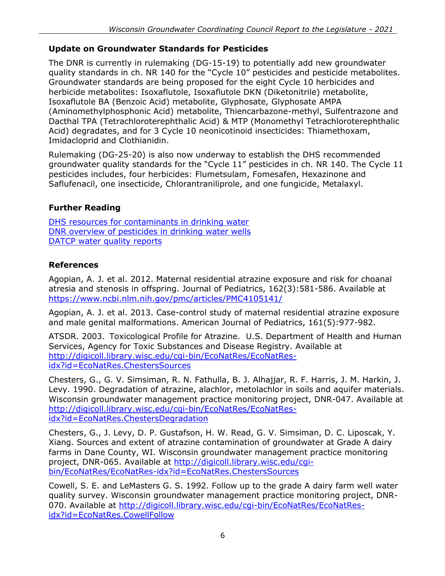#### **Update on Groundwater Standards for Pesticides**

The DNR is currently in rulemaking (DG-15-19) to potentially add new groundwater quality standards in ch. NR 140 for the "Cycle 10" pesticides and pesticide metabolites. Groundwater standards are being proposed for the eight Cycle 10 herbicides and herbicide metabolites: Isoxaflutole, Isoxaflutole DKN (Diketonitrile) metabolite, Isoxaflutole BA (Benzoic Acid) metabolite, Glyphosate, Glyphosate AMPA (Aminomethylphosphonic Acid) metabolite, Thiencarbazone-methyl, Sulfentrazone and Dacthal TPA (Tetrachloroterephthalic Acid) & MTP (Monomethyl Tetrachloroterephthalic Acid) degradates, and for 3 Cycle 10 neonicotinoid insecticides: Thiamethoxam, Imidacloprid and Clothianidin.

Rulemaking (DG-25-20) is also now underway to establish the DHS recommended groundwater quality standards for the "Cycle 11" pesticides in ch. NR 140. The Cycle 11 pesticides includes, four herbicides: Flumetsulam, Fomesafen, Hexazinone and Saflufenacil, one insecticide, Chlorantraniliprole, and one fungicide, Metalaxyl.

### **Further Reading**

[DHS resources for](https://www.dhs.wisconsin.gov/water/index.htm) contaminants in drinking water DNR overview [of pesticides](https://dnr.wi.gov/files/PDF/pubs/DG/DG0007.pdf) in drinking water wells DATCP [water quality reports](https://datcp.wi.gov/Pages/Programs_Services/GroundwaterReports.aspx)

## **References**

Agopian, A. J. et al. 2012. Maternal residential atrazine exposure and risk for choanal atresia and stenosis in offspring. Journal of Pediatrics, 162(3):581-586. Available at <https://www.ncbi.nlm.nih.gov/pmc/articles/PMC4105141/>

Agopian, A. J. et al. 2013. Case-control study of maternal residential atrazine exposure and male genital malformations. American Journal of Pediatrics, 161(5):977-982.

ATSDR. 2003. Toxicological Profile for Atrazine. U.S. Department of Health and Human Services, Agency for Toxic Substances and Disease Registry. Available at [http://digicoll.library.wisc.edu/cgi-bin/EcoNatRes/EcoNatRes](http://digicoll.library.wisc.edu/cgi-bin/EcoNatRes/EcoNatRes-idx?id=EcoNatRes.ChestersSources)[idx?id=EcoNatRes.ChestersSources](http://digicoll.library.wisc.edu/cgi-bin/EcoNatRes/EcoNatRes-idx?id=EcoNatRes.ChestersSources)

Chesters, G., G. V. Simsiman, R. N. Fathulla, B. J. Alhajjar, R. F. Harris, J. M. Harkin, J. Levy. 1990. Degradation of atrazine, alachlor, metolachlor in soils and aquifer materials. Wisconsin groundwater management practice monitoring project, DNR-047. Available at [http://digicoll.library.wisc.edu/cgi-bin/EcoNatRes/EcoNatRes](http://digicoll.library.wisc.edu/cgi-bin/EcoNatRes/EcoNatRes-idx?id=EcoNatRes.ChestersDegradation)[idx?id=EcoNatRes.ChestersDegradation](http://digicoll.library.wisc.edu/cgi-bin/EcoNatRes/EcoNatRes-idx?id=EcoNatRes.ChestersDegradation)

Chesters, G., J. Levy, D. P. Gustafson, H. W. Read, G. V. Simsiman, D. C. Liposcak, Y. Xiang. Sources and extent of atrazine contamination of groundwater at Grade A dairy farms in Dane County, WI. Wisconsin groundwater management practice monitoring project, DNR-065. Available at [http://digicoll.library.wisc.edu/cgi](http://digicoll.library.wisc.edu/cgi-bin/EcoNatRes/EcoNatRes-idx?id=EcoNatRes.ChestersSources)[bin/EcoNatRes/EcoNatRes-idx?id=EcoNatRes.ChestersSources](http://digicoll.library.wisc.edu/cgi-bin/EcoNatRes/EcoNatRes-idx?id=EcoNatRes.ChestersSources)

Cowell, S. E. and LeMasters G. S. 1992. Follow up to the grade A dairy farm well water quality survey. Wisconsin groundwater management practice monitoring project, DNR070. Available at [http://digicoll.library.wisc.edu/cgi-bin/EcoNatRes/EcoNatRes](http://digicoll.library.wisc.edu/cgi-bin/EcoNatRes/EcoNatRes-idx?id=EcoNatRes.CowellFollow)[idx?id=EcoNatRes.CowellFollow](http://digicoll.library.wisc.edu/cgi-bin/EcoNatRes/EcoNatRes-idx?id=EcoNatRes.CowellFollow)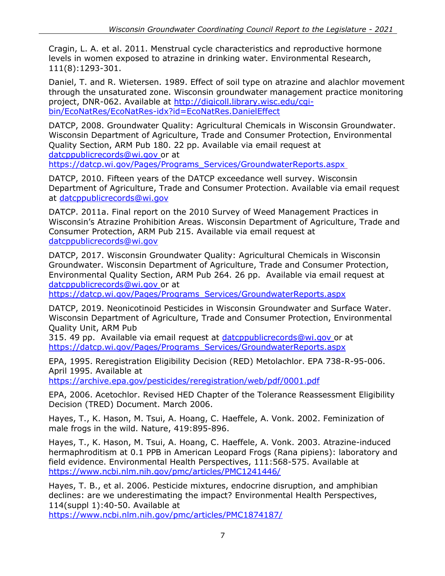Cragin, L. A. et al. 2011. Menstrual cycle characteristics and reproductive hormone levels in women exposed to atrazine in drinking water. Environmental Research, 111(8):1293-301.

Daniel, T. and R. Wietersen. 1989. Effect of soil type on atrazine and alachlor movement through the unsaturated zone. Wisconsin groundwater management practice monitoring project, DNR-062. Available at [http://digicoll.library.wisc.edu/cgi](http://digicoll.library.wisc.edu/cgi-bin/EcoNatRes/EcoNatRes-idx?id=EcoNatRes.DanielEffect)[bin/EcoNatRes/EcoNatRes-idx?id=EcoNatRes.DanielEffect](http://digicoll.library.wisc.edu/cgi-bin/EcoNatRes/EcoNatRes-idx?id=EcoNatRes.DanielEffect)

DATCP, 2008. Groundwater Quality: Agricultural Chemicals in Wisconsin Groundwater. Wisconsin Department of Agriculture, Trade and Consumer Protection, Environmental Quality Section, ARM Pub 180. 22 pp. Available via email request at [datcppublicrecords@wi.gov](mailto:datcppublicrecords@wi.gov) or at

[https://datcp.wi.gov/Pages/Programs\\_Services/GroundwaterReports.aspx](https://datcp.wi.gov/Pages/Programs_Services/GroundwaterReports.aspx)

DATCP, 2010. Fifteen years of the DATCP exceedance well survey. Wisconsin Department of Agriculture, Trade and Consumer Protection. Available via email request at [datcppublicrecords@wi.gov](mailto:datcppublicrecords@wi.gov)

DATCP. 2011a. Final report on the 2010 Survey of Weed Management Practices in Wisconsin's Atrazine Prohibition Areas. Wisconsin Department of Agriculture, Trade and Consumer Protection, ARM Pub 215. Available via email request at [datcppublicrecords@wi.gov](mailto:datcppublicrecords@wi.gov)

DATCP, 2017. Wisconsin Groundwater Quality: Agricultural Chemicals in Wisconsin Groundwater. Wisconsin Department of Agriculture, Trade and Consumer Protection, Environmental Quality Section, ARM Pub 264. 26 pp. Available via email request at [datcppublicrecords@wi.gov](mailto:datcppublicrecords@wi.gov) or at

[https://datcp.wi.gov/Pages/Programs\\_Services/GroundwaterReports.aspx](https://datcp.wi.gov/Pages/Programs_Services/GroundwaterReports.aspx)

DATCP, 2019. Neonicotinoid Pesticides in Wisconsin Groundwater and Surface Water. Wisconsin Department of Agriculture, Trade and Consumer Protection, Environmental Quality Unit, ARM Pub

315. 49 pp. Available via email request at [datcppublicrecords@wi.gov](mailto:datcppublicrecords@wi.gov) or at [https://datcp.wi.gov/Pages/Programs\\_Services/GroundwaterReports.aspx](https://datcp.wi.gov/Pages/Programs_Services/GroundwaterReports.aspx)

EPA, 1995. Reregistration Eligibility Decision (RED) Metolachlor. EPA 738-R-95-006. April 1995. Available at

<https://archive.epa.gov/pesticides/reregistration/web/pdf/0001.pdf>

EPA, 2006. Acetochlor. Revised HED Chapter of the Tolerance Reassessment Eligibility Decision (TRED) Document. March 2006.

Hayes, T., K. Hason, M. Tsui, A. Hoang, C. Haeffele, A. Vonk. 2002. Feminization of male frogs in the wild. Nature, 419:895-896.

Hayes, T., K. Hason, M. Tsui, A. Hoang, C. Haeffele, A. Vonk. 2003. Atrazine-induced hermaphroditism at 0.1 PPB in American Leopard Frogs (Rana pipiens): laboratory and field evidence. Environmental Health Perspectives, 111:568-575. Available at <https://www.ncbi.nlm.nih.gov/pmc/articles/PMC1241446/>

Hayes, T. B., et al. 2006. Pesticide mixtures, endocrine disruption, and amphibian declines: are we underestimating the impact? Environmental Health Perspectives, 114(suppl 1):40-50. Available at

<https://www.ncbi.nlm.nih.gov/pmc/articles/PMC1874187/>